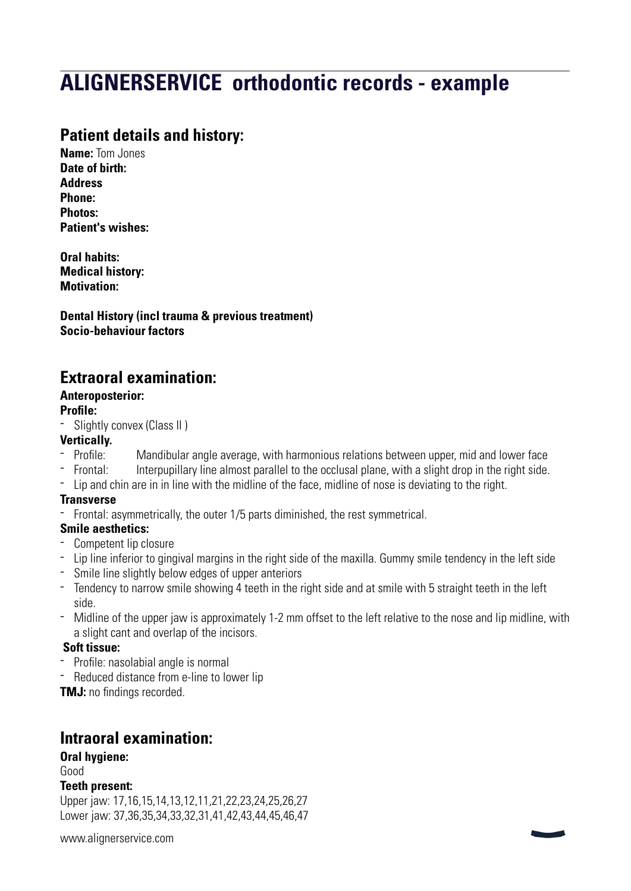# **ALIGNERSERVICE orthodontic records - example**

# **Patient details and history:**

**Name:** Tom Jones **Date of birth: Address Phone: Photos: Patient's wishes:**

**Oral habits: Medical history: Motivation:**

**Dental History (incl trauma & previous treatment) Socio-behaviour factors**

# **Extraoral examination:**

#### **Anteroposterior:**

#### **Profile:**

- Slightly convex (Class II )

## **Vertically.**

- Profile: Mandibular angle average, with harmonious relations between upper, mid and lower face<br>- Frontal: literpupillary line almost parallel to the occlusal plane, with a slight drop in the right side.
- Interpupillary line almost parallel to the occlusal plane, with a slight drop in the right side.
- Lip and chin are in in line with the midline of the face, midline of nose is deviating to the right.

#### **Transverse**

- Frontal: asymmetrically, the outer 1/5 parts diminished, the rest symmetrical.

#### **Smile aesthetics:**

- Competent lip closure
- Lip line inferior to gingival margins in the right side of the maxilla. Gummy smile tendency in the left side
- Smile line slightly below edges of upper anteriors
- Tendency to narrow smile showing 4 teeth in the right side and at smile with 5 straight teeth in the left side.
- Midline of the upper jaw is approximately 1-2 mm offset to the left relative to the nose and lip midline, with a slight cant and overlap of the incisors.

#### **Soft tissue:**

- Profile: nasolabial angle is normal
- Reduced distance from e-line to lower lip

**TMJ:** no findings recorded.

## **Intraoral examination:**

## **Oral hygiene:**

Good

#### **Teeth present:**

Upper jaw: 17,16,15,14,13,12,11,21,22,23,24,25,26,27 Lower jaw: 37,36,35,34,33,32,31,41,42,43,44,45,46,47

[www.alignerservice.com](http://www.alignerservice.com)